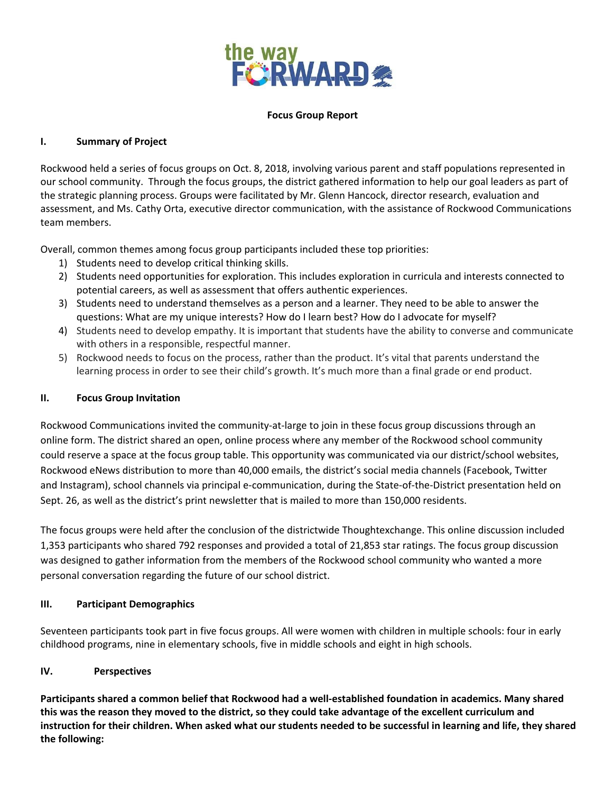

### **Focus Group Report**

## **I. Summary of Project**

Rockwood held a series of focus groups on Oct. 8, 2018, involving various parent and staff populations represented in our school community. Through the focus groups, the district gathered information to help our goal leaders as part of the strategic planning process. Groups were facilitated by Mr. Glenn Hancock, director research, evaluation and assessment, and Ms. Cathy Orta, executive director communication, with the assistance of Rockwood Communications team members.

Overall, common themes among focus group participants included these top priorities:

- 1) Students need to develop critical thinking skills.
- 2) Students need opportunities for exploration. This includes exploration in curricula and interests connected to potential careers, as well as assessment that offers authentic experiences.
- 3) Students need to understand themselves as a person and a learner. They need to be able to answer the questions: What are my unique interests? How do I learn best? How do I advocate for myself?
- 4) Students need to develop empathy. It is important that students have the ability to converse and communicate with others in a responsible, respectful manner.
- 5) Rockwood needs to focus on the process, rather than the product. It's vital that parents understand the learning process in order to see their child's growth. It's much more than a final grade or end product.

### **II. Focus Group Invitation**

Rockwood Communications invited the community-at-large to join in these focus group discussions through an online form. The district shared an open, online process where any member of the Rockwood school community could reserve a space at the focus group table. This opportunity was communicated via our district/school websites, Rockwood eNews distribution to more than 40,000 emails, the district's social media channels (Facebook, Twitter and Instagram), school channels via principal e-communication, during the State-of-the-District presentation held on Sept. 26, as well as the district's print newsletter that is mailed to more than 150,000 residents.

The focus groups were held after the conclusion of the districtwide Thoughtexchange. This online discussion included 1,353 participants who shared 792 responses and provided a total of 21,853 star ratings. The focus group discussion was designed to gather information from the members of the Rockwood school community who wanted a more personal conversation regarding the future of our school district.

### **III. Participant Demographics**

Seventeen participants took part in five focus groups. All were women with children in multiple schools: four in early childhood programs, nine in elementary schools, five in middle schools and eight in high schools.

# **IV. Perspectives**

**Participants shared a common belief that Rockwood had a well-established foundation in academics. Many shared** this was the reason they moved to the district, so they could take advantage of the excellent curriculum and instruction for their children. When asked what our students needed to be successful in learning and life, they shared **the following:**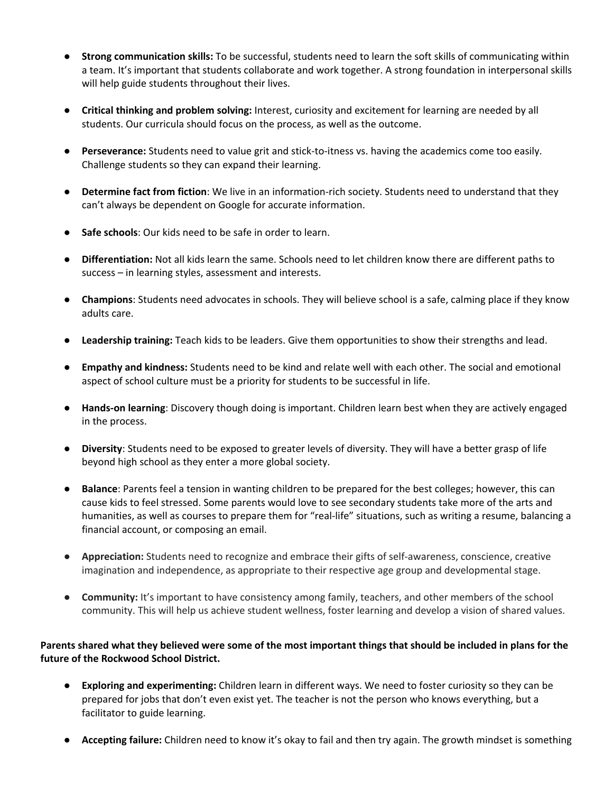- **Strong communication skills:** To be successful, students need to learn the soft skills of communicating within a team. It's important that students collaborate and work together. A strong foundation in interpersonal skills will help guide students throughout their lives.
- **Critical thinking and problem solving:** Interest, curiosity and excitement for learning are needed by all students. Our curricula should focus on the process, as well as the outcome.
- **Perseverance:** Students need to value grit and stick-to-itness vs. having the academics come too easily. Challenge students so they can expand their learning.
- **Determine fact from fiction**: We live in an information-rich society. Students need to understand that they can't always be dependent on Google for accurate information.
- **Safe schools**: Our kids need to be safe in order to learn.
- **Differentiation:** Not all kids learn the same. Schools need to let children know there are different paths to success – in learning styles, assessment and interests.
- **Champions**: Students need advocates in schools. They will believe school is a safe, calming place if they know adults care.
- **Leadership training:** Teach kids to be leaders. Give them opportunities to show their strengths and lead.
- **Empathy and kindness:** Students need to be kind and relate well with each other. The social and emotional aspect of school culture must be a priority for students to be successful in life.
- **Hands-on learning**: Discovery though doing is important. Children learn best when they are actively engaged in the process.
- **Diversity**: Students need to be exposed to greater levels of diversity. They will have a better grasp of life beyond high school as they enter a more global society.
- **Balance**: Parents feel a tension in wanting children to be prepared for the best colleges; however, this can cause kids to feel stressed. Some parents would love to see secondary students take more of the arts and humanities, as well as courses to prepare them for "real-life" situations, such as writing a resume, balancing a financial account, or composing an email.
- **Appreciation:** Students need to recognize and embrace their gifts of self-awareness, conscience, creative imagination and independence, as appropriate to their respective age group and developmental stage.
- **Community:** It's important to have consistency among family, teachers, and other members of the school community. This will help us achieve student wellness, foster learning and develop a vision of shared values.

# Parents shared what they believed were some of the most important things that should be included in plans for the **future of the Rockwood School District.**

- **Exploring and experimenting:** Children learn in different ways. We need to foster curiosity so they can be prepared for jobs that don't even exist yet. The teacher is not the person who knows everything, but a facilitator to guide learning.
- **Accepting failure:** Children need to know it's okay to fail and then try again. The growth mindset is something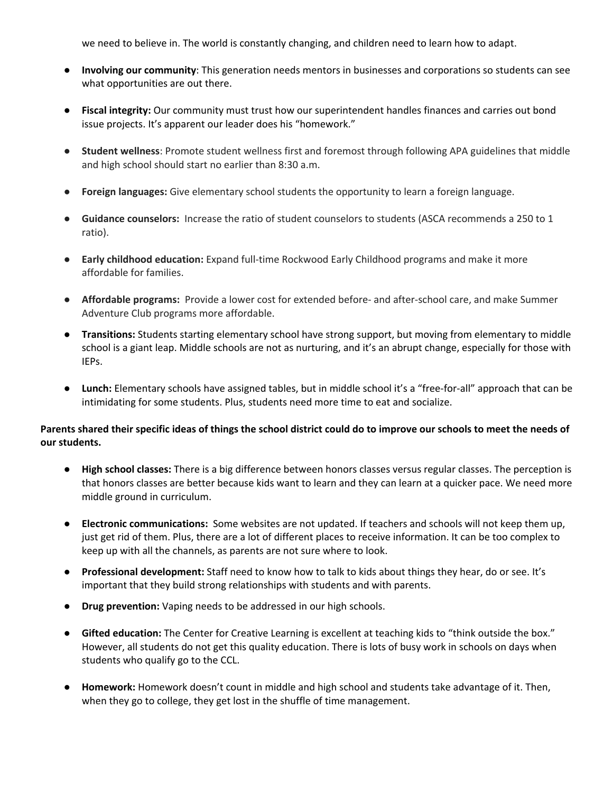we need to believe in. The world is constantly changing, and children need to learn how to adapt.

- **Involving our community**: This generation needs mentors in businesses and corporations so students can see what opportunities are out there.
- **Fiscal integrity:** Our community must trust how our superintendent handles finances and carries out bond issue projects. It's apparent our leader does his "homework."
- **Student wellness**: Promote student wellness first and foremost through following APA guidelines that middle and high school should start no earlier than 8:30 a.m.
- **Foreign languages:** Give elementary school students the opportunity to learn a foreign language.
- **Guidance counselors:** Increase the ratio of student counselors to students (ASCA recommends a 250 to 1 ratio).
- **Early childhood education:** Expand full-time Rockwood Early Childhood programs and make it more affordable for families.
- **Affordable programs:** Provide a lower cost for extended before- and after-school care, and make Summer Adventure Club programs more affordable.
- **Transitions:** Students starting elementary school have strong support, but moving from elementary to middle school is a giant leap. Middle schools are not as nurturing, and it's an abrupt change, especially for those with IEPs.
- **Lunch:** Elementary schools have assigned tables, but in middle school it's a "free-for-all" approach that can be intimidating for some students. Plus, students need more time to eat and socialize.

## Parents shared their specific ideas of things the school district could do to improve our schools to meet the needs of **our students.**

- **High school classes:** There is a big difference between honors classes versus regular classes. The perception is that honors classes are better because kids want to learn and they can learn at a quicker pace. We need more middle ground in curriculum.
- **Electronic communications:** Some websites are not updated. If teachers and schools will not keep them up, just get rid of them. Plus, there are a lot of different places to receive information. It can be too complex to keep up with all the channels, as parents are not sure where to look.
- **Professional development:** Staff need to know how to talk to kids about things they hear, do or see. It's important that they build strong relationships with students and with parents.
- **Drug prevention:** Vaping needs to be addressed in our high schools.
- **Gifted education:** The Center for Creative Learning is excellent at teaching kids to "think outside the box." However, all students do not get this quality education. There is lots of busy work in schools on days when students who qualify go to the CCL.
- **Homework:** Homework doesn't count in middle and high school and students take advantage of it. Then, when they go to college, they get lost in the shuffle of time management.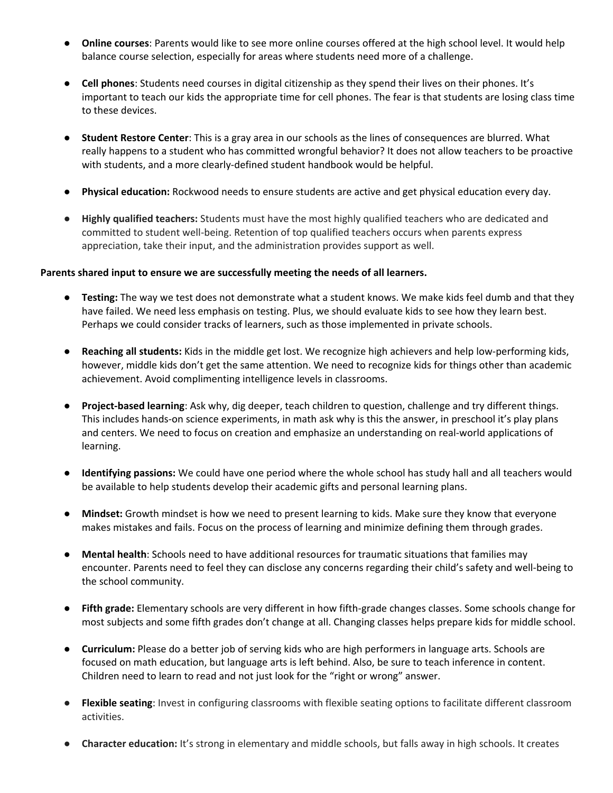- **Online courses**: Parents would like to see more online courses offered at the high school level. It would help balance course selection, especially for areas where students need more of a challenge.
- **Cell phones**: Students need courses in digital citizenship as they spend their lives on their phones. It's important to teach our kids the appropriate time for cell phones. The fear is that students are losing class time to these devices.
- **Student Restore Center**: This is a gray area in our schools as the lines of consequences are blurred. What really happens to a student who has committed wrongful behavior? It does not allow teachers to be proactive with students, and a more clearly-defined student handbook would be helpful.
- **Physical education:** Rockwood needs to ensure students are active and get physical education every day.
- **Highly qualified teachers:** Students must have the most highly qualified teachers who are dedicated and committed to student well-being. Retention of top qualified teachers occurs when parents express appreciation, take their input, and the administration provides support as well.

### **Parents shared input to ensure we are successfully meeting the needs of all learners.**

- **Testing:** The way we test does not demonstrate what a student knows. We make kids feel dumb and that they have failed. We need less emphasis on testing. Plus, we should evaluate kids to see how they learn best. Perhaps we could consider tracks of learners, such as those implemented in private schools.
- **Reaching all students:** Kids in the middle get lost. We recognize high achievers and help low-performing kids, however, middle kids don't get the same attention. We need to recognize kids for things other than academic achievement. Avoid complimenting intelligence levels in classrooms.
- **Project-based learning**: Ask why, dig deeper, teach children to question, challenge and try different things. This includes hands-on science experiments, in math ask why is this the answer, in preschool it's play plans and centers. We need to focus on creation and emphasize an understanding on real-world applications of learning.
- **Identifying passions:** We could have one period where the whole school has study hall and all teachers would be available to help students develop their academic gifts and personal learning plans.
- **Mindset:** Growth mindset is how we need to present learning to kids. Make sure they know that everyone makes mistakes and fails. Focus on the process of learning and minimize defining them through grades.
- **Mental health**: Schools need to have additional resources for traumatic situations that families may encounter. Parents need to feel they can disclose any concerns regarding their child's safety and well-being to the school community.
- **Fifth grade:** Elementary schools are very different in how fifth-grade changes classes. Some schools change for most subjects and some fifth grades don't change at all. Changing classes helps prepare kids for middle school.
- **Curriculum:** Please do a better job of serving kids who are high performers in language arts. Schools are focused on math education, but language arts is left behind. Also, be sure to teach inference in content. Children need to learn to read and not just look for the "right or wrong" answer.
- **Flexible seating**: Invest in configuring classrooms with flexible seating options to facilitate different classroom activities.
- **Character education:** It's strong in elementary and middle schools, but falls away in high schools. It creates